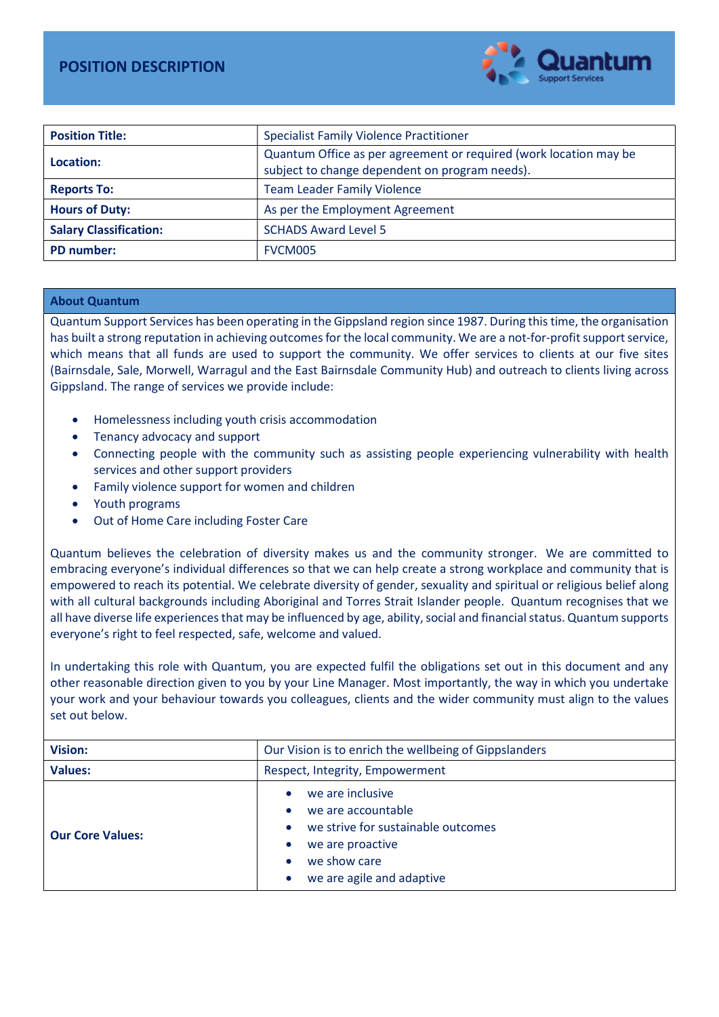

| <b>Position Title:</b>        | <b>Specialist Family Violence Practitioner</b>                                                                      |  |  |
|-------------------------------|---------------------------------------------------------------------------------------------------------------------|--|--|
| Location:                     | Quantum Office as per agreement or required (work location may be<br>subject to change dependent on program needs). |  |  |
| <b>Reports To:</b>            | <b>Team Leader Family Violence</b>                                                                                  |  |  |
| <b>Hours of Duty:</b>         | As per the Employment Agreement                                                                                     |  |  |
| <b>Salary Classification:</b> | <b>SCHADS Award Level 5</b>                                                                                         |  |  |
| PD number:                    | FVCM005                                                                                                             |  |  |

## About Quantum

Quantum Support Services has been operating in the Gippsland region since 1987. During this time, the organisation has built a strong reputation in achieving outcomes for the local community. We are a not-for-profit support service, which means that all funds are used to support the community. We offer services to clients at our five sites (Bairnsdale, Sale, Morwell, Warragul and the East Bairnsdale Community Hub) and outreach to clients living across Gippsland. The range of services we provide include:

- Homelessness including youth crisis accommodation
- Tenancy advocacy and support
- Connecting people with the community such as assisting people experiencing vulnerability with health services and other support providers
- Family violence support for women and children
- Youth programs
- Out of Home Care including Foster Care

Quantum believes the celebration of diversity makes us and the community stronger. We are committed to embracing everyone's individual differences so that we can help create a strong workplace and community that is empowered to reach its potential. We celebrate diversity of gender, sexuality and spiritual or religious belief along with all cultural backgrounds including Aboriginal and Torres Strait Islander people. Quantum recognises that we all have diverse life experiences that may be influenced by age, ability, social and financial status. Quantum supports everyone's right to feel respected, safe, welcome and valued.

In undertaking this role with Quantum, you are expected fulfil the obligations set out in this document and any other reasonable direction given to you by your Line Manager. Most importantly, the way in which you undertake your work and your behaviour towards you colleagues, clients and the wider community must align to the values set out below.

| <b>Vision:</b>          | Our Vision is to enrich the wellbeing of Gippslanders                                                                                         |  |  |
|-------------------------|-----------------------------------------------------------------------------------------------------------------------------------------------|--|--|
| <b>Values:</b>          | Respect, Integrity, Empowerment                                                                                                               |  |  |
| <b>Our Core Values:</b> | we are inclusive<br>we are accountable<br>we strive for sustainable outcomes<br>we are proactive<br>we show care<br>we are agile and adaptive |  |  |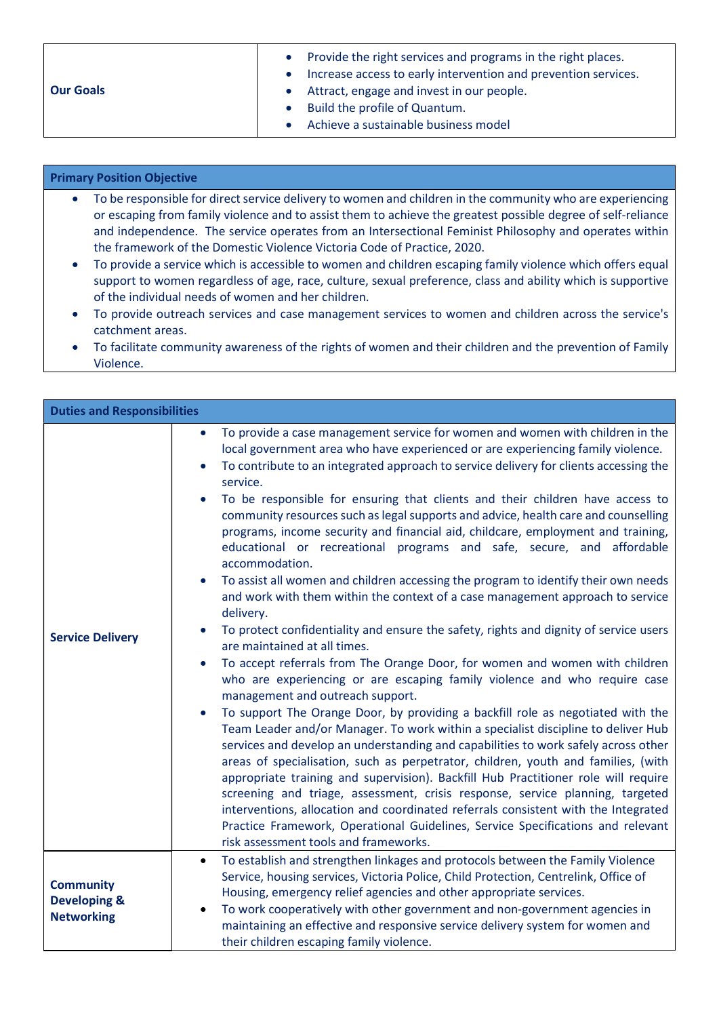|                  | Provide the right services and programs in the right places.   |
|------------------|----------------------------------------------------------------|
|                  | Increase access to early intervention and prevention services. |
| <b>Our Goals</b> | Attract, engage and invest in our people.                      |
|                  | Build the profile of Quantum.                                  |
|                  | Achieve a sustainable business model                           |

## Primary Position Objective

- To be responsible for direct service delivery to women and children in the community who are experiencing or escaping from family violence and to assist them to achieve the greatest possible degree of self-reliance and independence. The service operates from an Intersectional Feminist Philosophy and operates within the framework of the Domestic Violence Victoria Code of Practice, 2020.
- To provide a service which is accessible to women and children escaping family violence which offers equal support to women regardless of age, race, culture, sexual preference, class and ability which is supportive of the individual needs of women and her children.
- To provide outreach services and case management services to women and children across the service's catchment areas.
- To facilitate community awareness of the rights of women and their children and the prevention of Family Violence.

| <b>Duties and Responsibilities</b>                               |                                                                                                                                                                                                                                                                                                                                                                                                                                                                                                                                                                                                                                                                                                                                                                                                                                                                                                                                                                                                                                                                                                                                                                                                                                                                                                                                                                                                                                                                                                                                                                                                                                                                                                                                                                                                                                                                                                                 |
|------------------------------------------------------------------|-----------------------------------------------------------------------------------------------------------------------------------------------------------------------------------------------------------------------------------------------------------------------------------------------------------------------------------------------------------------------------------------------------------------------------------------------------------------------------------------------------------------------------------------------------------------------------------------------------------------------------------------------------------------------------------------------------------------------------------------------------------------------------------------------------------------------------------------------------------------------------------------------------------------------------------------------------------------------------------------------------------------------------------------------------------------------------------------------------------------------------------------------------------------------------------------------------------------------------------------------------------------------------------------------------------------------------------------------------------------------------------------------------------------------------------------------------------------------------------------------------------------------------------------------------------------------------------------------------------------------------------------------------------------------------------------------------------------------------------------------------------------------------------------------------------------------------------------------------------------------------------------------------------------|
| <b>Service Delivery</b>                                          | To provide a case management service for women and women with children in the<br>$\bullet$<br>local government area who have experienced or are experiencing family violence.<br>To contribute to an integrated approach to service delivery for clients accessing the<br>service.<br>To be responsible for ensuring that clients and their children have access to<br>community resources such as legal supports and advice, health care and counselling<br>programs, income security and financial aid, childcare, employment and training,<br>educational or recreational programs and safe, secure, and affordable<br>accommodation.<br>To assist all women and children accessing the program to identify their own needs<br>and work with them within the context of a case management approach to service<br>delivery.<br>To protect confidentiality and ensure the safety, rights and dignity of service users<br>are maintained at all times.<br>To accept referrals from The Orange Door, for women and women with children<br>$\bullet$<br>who are experiencing or are escaping family violence and who require case<br>management and outreach support.<br>To support The Orange Door, by providing a backfill role as negotiated with the<br>Team Leader and/or Manager. To work within a specialist discipline to deliver Hub<br>services and develop an understanding and capabilities to work safely across other<br>areas of specialisation, such as perpetrator, children, youth and families, (with<br>appropriate training and supervision). Backfill Hub Practitioner role will require<br>screening and triage, assessment, crisis response, service planning, targeted<br>interventions, allocation and coordinated referrals consistent with the Integrated<br>Practice Framework, Operational Guidelines, Service Specifications and relevant<br>risk assessment tools and frameworks. |
| <b>Community</b><br><b>Developing &amp;</b><br><b>Networking</b> | To establish and strengthen linkages and protocols between the Family Violence<br>$\bullet$<br>Service, housing services, Victoria Police, Child Protection, Centrelink, Office of<br>Housing, emergency relief agencies and other appropriate services.<br>To work cooperatively with other government and non-government agencies in<br>maintaining an effective and responsive service delivery system for women and<br>their children escaping family violence.                                                                                                                                                                                                                                                                                                                                                                                                                                                                                                                                                                                                                                                                                                                                                                                                                                                                                                                                                                                                                                                                                                                                                                                                                                                                                                                                                                                                                                             |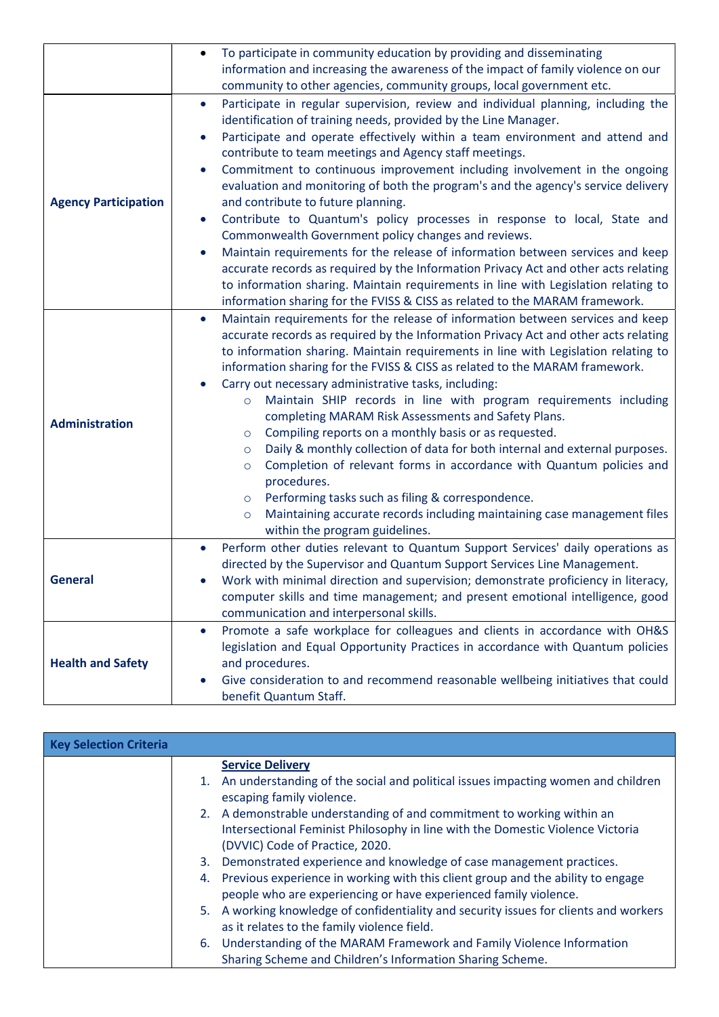|                             | To participate in community education by providing and disseminating<br>$\bullet$                                                                                                                                                                                                                                                                                                                                                                                                                                                                                                                                                                                                                                                                                                                                                                                                                                                                                                                               |  |  |  |
|-----------------------------|-----------------------------------------------------------------------------------------------------------------------------------------------------------------------------------------------------------------------------------------------------------------------------------------------------------------------------------------------------------------------------------------------------------------------------------------------------------------------------------------------------------------------------------------------------------------------------------------------------------------------------------------------------------------------------------------------------------------------------------------------------------------------------------------------------------------------------------------------------------------------------------------------------------------------------------------------------------------------------------------------------------------|--|--|--|
|                             | information and increasing the awareness of the impact of family violence on our                                                                                                                                                                                                                                                                                                                                                                                                                                                                                                                                                                                                                                                                                                                                                                                                                                                                                                                                |  |  |  |
|                             | community to other agencies, community groups, local government etc.                                                                                                                                                                                                                                                                                                                                                                                                                                                                                                                                                                                                                                                                                                                                                                                                                                                                                                                                            |  |  |  |
| <b>Agency Participation</b> | Participate in regular supervision, review and individual planning, including the<br>$\bullet$<br>identification of training needs, provided by the Line Manager.<br>Participate and operate effectively within a team environment and attend and<br>contribute to team meetings and Agency staff meetings.<br>Commitment to continuous improvement including involvement in the ongoing<br>evaluation and monitoring of both the program's and the agency's service delivery<br>and contribute to future planning.<br>Contribute to Quantum's policy processes in response to local, State and<br>Commonwealth Government policy changes and reviews.<br>Maintain requirements for the release of information between services and keep<br>accurate records as required by the Information Privacy Act and other acts relating<br>to information sharing. Maintain requirements in line with Legislation relating to<br>information sharing for the FVISS & CISS as related to the MARAM framework.            |  |  |  |
| <b>Administration</b>       | Maintain requirements for the release of information between services and keep<br>$\bullet$<br>accurate records as required by the Information Privacy Act and other acts relating<br>to information sharing. Maintain requirements in line with Legislation relating to<br>information sharing for the FVISS & CISS as related to the MARAM framework.<br>Carry out necessary administrative tasks, including:<br>Maintain SHIP records in line with program requirements including<br>$\circ$<br>completing MARAM Risk Assessments and Safety Plans.<br>Compiling reports on a monthly basis or as requested.<br>$\circ$<br>Daily & monthly collection of data for both internal and external purposes.<br>$\circ$<br>Completion of relevant forms in accordance with Quantum policies and<br>$\circ$<br>procedures.<br>Performing tasks such as filing & correspondence.<br>$\circ$<br>Maintaining accurate records including maintaining case management files<br>$\circ$<br>within the program guidelines. |  |  |  |
| <b>General</b>              | Perform other duties relevant to Quantum Support Services' daily operations as<br>$\bullet$<br>directed by the Supervisor and Quantum Support Services Line Management.<br>Work with minimal direction and supervision; demonstrate proficiency in literacy,<br>computer skills and time management; and present emotional intelligence, good<br>communication and interpersonal skills.                                                                                                                                                                                                                                                                                                                                                                                                                                                                                                                                                                                                                        |  |  |  |
| <b>Health and Safety</b>    | Promote a safe workplace for colleagues and clients in accordance with OH&S<br>$\bullet$<br>legislation and Equal Opportunity Practices in accordance with Quantum policies<br>and procedures.<br>Give consideration to and recommend reasonable wellbeing initiatives that could<br>benefit Quantum Staff.                                                                                                                                                                                                                                                                                                                                                                                                                                                                                                                                                                                                                                                                                                     |  |  |  |

| <b>Key Selection Criteria</b> |                                                                                                                                                        |
|-------------------------------|--------------------------------------------------------------------------------------------------------------------------------------------------------|
|                               | <b>Service Delivery</b>                                                                                                                                |
|                               | 1. An understanding of the social and political issues impacting women and children<br>escaping family violence.                                       |
|                               | 2. A demonstrable understanding of and commitment to working within an                                                                                 |
|                               | Intersectional Feminist Philosophy in line with the Domestic Violence Victoria                                                                         |
|                               | (DVVIC) Code of Practice, 2020.                                                                                                                        |
|                               | 3. Demonstrated experience and knowledge of case management practices.                                                                                 |
|                               | 4. Previous experience in working with this client group and the ability to engage<br>people who are experiencing or have experienced family violence. |
|                               | 5. A working knowledge of confidentiality and security issues for clients and workers<br>as it relates to the family violence field.                   |
|                               | 6. Understanding of the MARAM Framework and Family Violence Information                                                                                |
|                               | Sharing Scheme and Children's Information Sharing Scheme.                                                                                              |